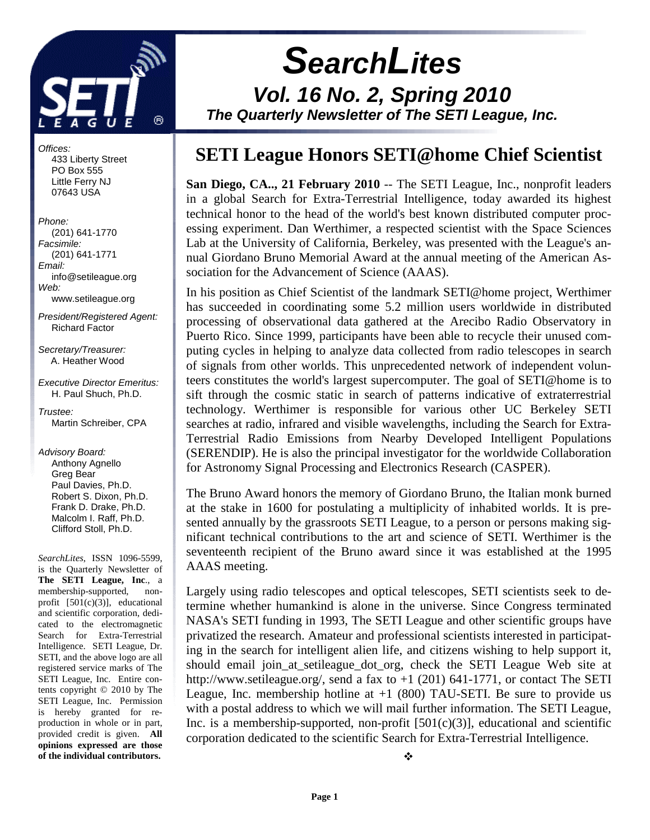

 **SearchLites Vol. 16 No. 2, Spring 2010 The Quarterly Newsletter of The SETI League, Inc.** 

# **SETI League Honors SETI@home Chief Scientist**

San Diego, CA.., 21 February 2010 -- The SETI League, Inc., nonprofit leaders in a global Search for Extra-Terrestrial Intelligence, today awarded its highest technical honor to the head of the world's best known distributed computer processing experiment. Dan Werthimer, a respected scientist with the Space Sciences Lab at the University of California, Berkeley, was presented with the League's annual Giordano Bruno Memorial Award at the annual meeting of the American Association for the Advancement of Science (AAAS).

In his position as Chief Scientist of the landmark SETI@home project, Werthimer has succeeded in coordinating some 5.2 million users worldwide in distributed processing of observational data gathered at the Arecibo Radio Observatory in Puerto Rico. Since 1999, participants have been able to recycle their unused computing cycles in helping to analyze data collected from radio telescopes in search of signals from other worlds. This unprecedented network of independent volunteers constitutes the world's largest supercomputer. The goal of SETI@home is to sift through the cosmic static in search of patterns indicative of extraterrestrial technology. Werthimer is responsible for various other UC Berkeley SETI searches at radio, infrared and visible wavelengths, including the Search for Extra-Terrestrial Radio Emissions from Nearby Developed Intelligent Populations (SERENDIP). He is also the principal investigator for the worldwide Collaboration for Astronomy Signal Processing and Electronics Research (CASPER).

The Bruno Award honors the memory of Giordano Bruno, the Italian monk burned at the stake in 1600 for postulating a multiplicity of inhabited worlds. It is presented annually by the grassroots SETI League, to a person or persons making significant technical contributions to the art and science of SETI. Werthimer is the seventeenth recipient of the Bruno award since it was established at the 1995 AAAS meeting.

Largely using radio telescopes and optical telescopes, SETI scientists seek to determine whether humankind is alone in the universe. Since Congress terminated NASA's SETI funding in 1993, The SETI League and other scientific groups have privatized the research. Amateur and professional scientists interested in participating in the search for intelligent alien life, and citizens wishing to help support it, should email join\_at\_setileague\_dot\_org, check the SETI League Web site at http://www.setileague.org/, send a fax to +1 (201) 641-1771, or contact The SETI League, Inc. membership hotline at  $+1$  (800) TAU-SETI. Be sure to provide us with a postal address to which we will mail further information. The SETI League, Inc. is a membership-supported, non-profit  $[501(c)(3)]$ , educational and scientific corporation dedicated to the scientific Search for Extra-Terrestrial Intelligence.

❖

 433 Liberty Street PO Box 555 Little Ferry NJ 07643 USA Phone: (201) 641-1770

Offices:

Facsimile: (201) 641-1771 Email: info@setileague.org Web: www.setileague.org

President/Registered Agent: Richard Factor

Secretary/Treasurer: A. Heather Wood

Executive Director Emeritus: H. Paul Shuch, Ph.D.

Trustee: Martin Schreiber, CPA

Advisory Board: Anthony Agnello Greg Bear Paul Davies, Ph.D. Robert S. Dixon, Ph.D. Frank D. Drake, Ph.D. Malcolm I. Raff, Ph.D. Clifford Stoll, Ph.D.

*SearchLites*, ISSN 1096-5599, is the Quarterly Newsletter of **The SETI League, Inc**., a membership-supported, nonprofit [501(c)(3)], educational and scientific corporation, dedicated to the electromagnetic Search for Extra-Terrestrial Intelligence. SETI League, Dr. SETI, and the above logo are all registered service marks of The SETI League, Inc. Entire contents copyright © 2010 by The SETI League, Inc. Permission is hereby granted for reproduction in whole or in part, provided credit is given. **All opinions expressed are those of the individual contributors.**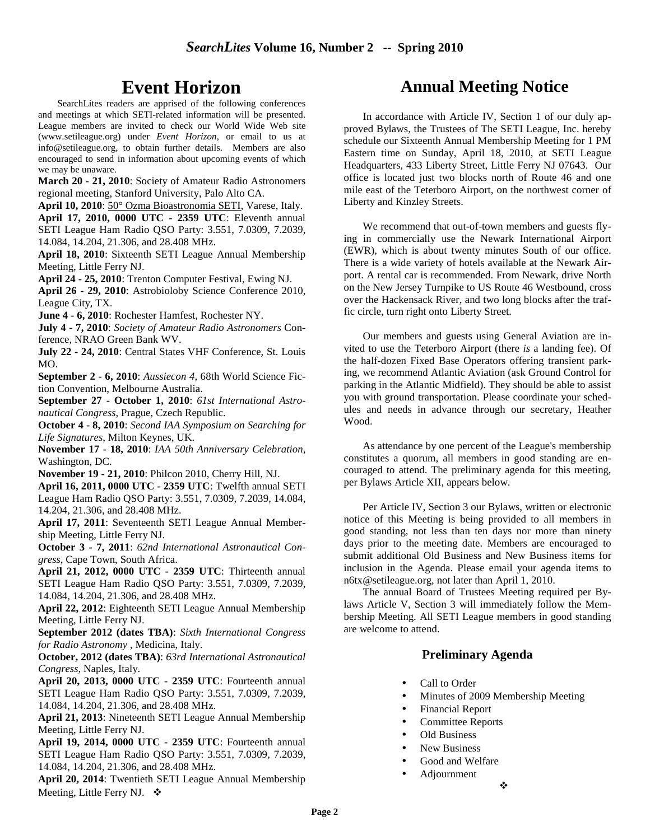# **Event Horizon**

SearchLites readers are apprised of the following conferences and meetings at which SETI-related information will be presented. League members are invited to check our World Wide Web site (www.setileague.org) under *Event Horizon*, or email to us at info@setileague.org, to obtain further details. Members are also encouraged to send in information about upcoming events of which we may be unaware.

**March 20 - 21, 2010**: Society of Amateur Radio Astronomers regional meeting, Stanford University, Palo Alto CA.

**April 10, 2010**: 50° Ozma Bioastronomia SETI, Varese, Italy. **April 17, 2010, 0000 UTC - 2359 UTC**: Eleventh annual SETI League Ham Radio QSO Party: 3.551, 7.0309, 7.2039, 14.084, 14.204, 21.306, and 28.408 MHz.

**April 18, 2010**: Sixteenth SETI League Annual Membership Meeting, Little Ferry NJ.

**April 24 - 25, 2010**: Trenton Computer Festival, Ewing NJ. **April 26 - 29, 2010**: Astrobioloby Science Conference 2010, League City, TX.

**June 4 - 6, 2010**: Rochester Hamfest, Rochester NY.

**July 4 - 7, 2010**: *Society of Amateur Radio Astronomers* Conference, NRAO Green Bank WV.

**July 22 - 24, 2010**: Central States VHF Conference, St. Louis MO.

**September 2 - 6, 2010**: *Aussiecon 4*, 68th World Science Fiction Convention, Melbourne Australia.

**September 27 - October 1, 2010**: *61st International Astronautical Congress*, Prague, Czech Republic.

**October 4 - 8, 2010**: *Second IAA Symposium on Searching for Life Signatures*, Milton Keynes, UK.

**November 17 - 18, 2010**: *IAA 50th Anniversary Celebration*, Washington, DC.

**November 19 - 21, 2010**: Philcon 2010, Cherry Hill, NJ.

**April 16, 2011, 0000 UTC - 2359 UTC**: Twelfth annual SETI League Ham Radio QSO Party: 3.551, 7.0309, 7.2039, 14.084, 14.204, 21.306, and 28.408 MHz.

**April 17, 2011**: Seventeenth SETI League Annual Membership Meeting, Little Ferry NJ.

**October 3 - 7, 2011**: *62nd International Astronautical Congress*, Cape Town, South Africa.

**April 21, 2012, 0000 UTC - 2359 UTC**: Thirteenth annual SETI League Ham Radio QSO Party: 3.551, 7.0309, 7.2039, 14.084, 14.204, 21.306, and 28.408 MHz.

**April 22, 2012**: Eighteenth SETI League Annual Membership Meeting, Little Ferry NJ.

**September 2012 (dates TBA)**: *Sixth International Congress for Radio Astronomy* , Medicina, Italy.

**October, 2012 (dates TBA)**: *63rd International Astronautical Congress*, Naples, Italy.

**April 20, 2013, 0000 UTC - 2359 UTC**: Fourteenth annual SETI League Ham Radio QSO Party: 3.551, 7.0309, 7.2039, 14.084, 14.204, 21.306, and 28.408 MHz.

**April 21, 2013**: Nineteenth SETI League Annual Membership Meeting, Little Ferry NJ.

**April 19, 2014, 0000 UTC - 2359 UTC**: Fourteenth annual SETI League Ham Radio QSO Party: 3.551, 7.0309, 7.2039, 14.084, 14.204, 21.306, and 28.408 MHz.

**April 20, 2014**: Twentieth SETI League Annual Membership Meeting, Little Ferry NJ.  $\bullet$ 

# **Annual Meeting Notice**

In accordance with Article IV, Section 1 of our duly approved Bylaws, the Trustees of The SETI League, Inc. hereby schedule our Sixteenth Annual Membership Meeting for 1 PM Eastern time on Sunday, April 18, 2010, at SETI League Headquarters, 433 Liberty Street, Little Ferry NJ 07643. Our office is located just two blocks north of Route 46 and one mile east of the Teterboro Airport, on the northwest corner of Liberty and Kinzley Streets.

We recommend that out-of-town members and guests flying in commercially use the Newark International Airport (EWR), which is about twenty minutes South of our office. There is a wide variety of hotels available at the Newark Airport. A rental car is recommended. From Newark, drive North on the New Jersey Turnpike to US Route 46 Westbound, cross over the Hackensack River, and two long blocks after the traffic circle, turn right onto Liberty Street.

Our members and guests using General Aviation are invited to use the Teterboro Airport (there *is* a landing fee). Of the half-dozen Fixed Base Operators offering transient parking, we recommend Atlantic Aviation (ask Ground Control for parking in the Atlantic Midfield). They should be able to assist you with ground transportation. Please coordinate your schedules and needs in advance through our secretary, Heather Wood.

As attendance by one percent of the League's membership constitutes a quorum, all members in good standing are encouraged to attend. The preliminary agenda for this meeting, per Bylaws Article XII, appears below.

Per Article IV, Section 3 our Bylaws, written or electronic notice of this Meeting is being provided to all members in good standing, not less than ten days nor more than ninety days prior to the meeting date. Members are encouraged to submit additional Old Business and New Business items for inclusion in the Agenda. Please email your agenda items to n6tx@setileague.org, not later than April 1, 2010.

The annual Board of Trustees Meeting required per Bylaws Article V, Section 3 will immediately follow the Membership Meeting. All SETI League members in good standing are welcome to attend.

#### **Preliminary Agenda**

- Call to Order
- Minutes of 2009 Membership Meeting
- Financial Report
- Committee Reports
- Old Business
- New Business
- Good and Welfare
- Adjournment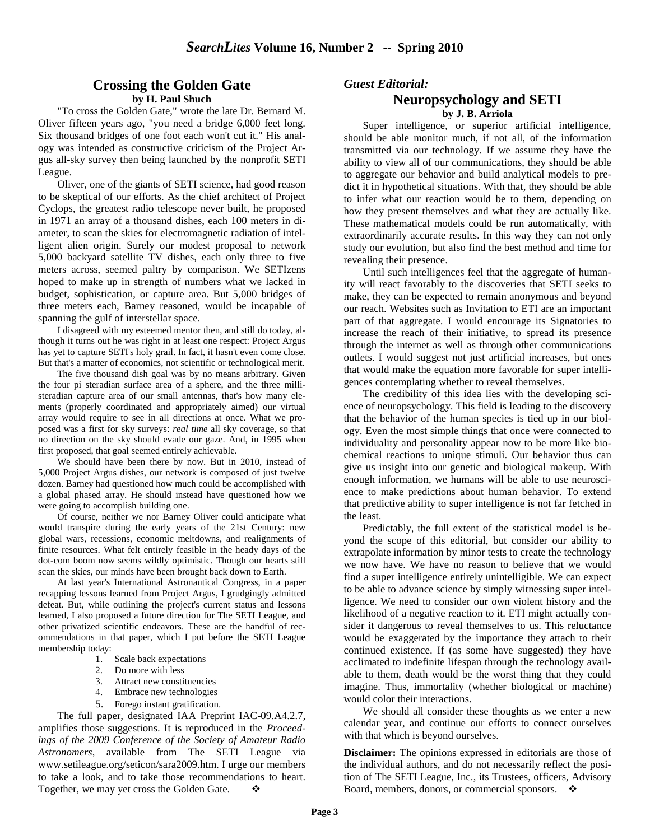#### **Crossing the Golden Gate by H. Paul Shuch**

"To cross the Golden Gate," wrote the late Dr. Bernard M. Oliver fifteen years ago, "you need a bridge 6,000 feet long. Six thousand bridges of one foot each won't cut it." His analogy was intended as constructive criticism of the Project Argus all-sky survey then being launched by the nonprofit SETI League.

Oliver, one of the giants of SETI science, had good reason to be skeptical of our efforts. As the chief architect of Project Cyclops, the greatest radio telescope never built, he proposed in 1971 an array of a thousand dishes, each 100 meters in diameter, to scan the skies for electromagnetic radiation of intelligent alien origin. Surely our modest proposal to network 5,000 backyard satellite TV dishes, each only three to five meters across, seemed paltry by comparison. We SETIzens hoped to make up in strength of numbers what we lacked in budget, sophistication, or capture area. But 5,000 bridges of three meters each, Barney reasoned, would be incapable of spanning the gulf of interstellar space.

I disagreed with my esteemed mentor then, and still do today, although it turns out he was right in at least one respect: Project Argus has yet to capture SETI's holy grail. In fact, it hasn't even come close. But that's a matter of economics, not scientific or technological merit.

The five thousand dish goal was by no means arbitrary. Given the four pi steradian surface area of a sphere, and the three millisteradian capture area of our small antennas, that's how many elements (properly coordinated and appropriately aimed) our virtual array would require to see in all directions at once. What we proposed was a first for sky surveys: *real time* all sky coverage, so that no direction on the sky should evade our gaze. And, in 1995 when first proposed, that goal seemed entirely achievable.

We should have been there by now. But in 2010, instead of 5,000 Project Argus dishes, our network is composed of just twelve dozen. Barney had questioned how much could be accomplished with a global phased array. He should instead have questioned how we were going to accomplish building one.

Of course, neither we nor Barney Oliver could anticipate what would transpire during the early years of the 21st Century: new global wars, recessions, economic meltdowns, and realignments of finite resources. What felt entirely feasible in the heady days of the dot-com boom now seems wildly optimistic. Though our hearts still scan the skies, our minds have been brought back down to Earth.

At last year's International Astronautical Congress, in a paper recapping lessons learned from Project Argus, I grudgingly admitted defeat. But, while outlining the project's current status and lessons learned, I also proposed a future direction for The SETI League, and other privatized scientific endeavors. These are the handful of recommendations in that paper, which I put before the SETI League membership today:

- 1. Scale back expectations
- 2. Do more with less
- 3. Attract new constituencies
- 4. Embrace new technologies
- 5. Forego instant gratification.

The full paper, designated IAA Preprint IAC-09.A4.2.7, amplifies those suggestions. It is reproduced in the *Proceedings of the 2009 Conference of the Society of Amateur Radio Astronomers*, available from The SETI League via www.setileague.org/seticon/sara2009.htm. I urge our members to take a look, and to take those recommendations to heart. Together, we may yet cross the Golden Gate.  $\bullet$ 

#### *Guest Editorial:*

#### **Neuropsychology and SETI by J. B. Arriola**

Super intelligence, or superior artificial intelligence, should be able monitor much, if not all, of the information transmitted via our technology. If we assume they have the ability to view all of our communications, they should be able to aggregate our behavior and build analytical models to predict it in hypothetical situations. With that, they should be able to infer what our reaction would be to them, depending on how they present themselves and what they are actually like. These mathematical models could be run automatically, with extraordinarily accurate results. In this way they can not only study our evolution, but also find the best method and time for revealing their presence.

Until such intelligences feel that the aggregate of humanity will react favorably to the discoveries that SETI seeks to make, they can be expected to remain anonymous and beyond our reach. Websites such as Invitation to ETI are an important part of that aggregate. I would encourage its Signatories to increase the reach of their initiative, to spread its presence through the internet as well as through other communications outlets. I would suggest not just artificial increases, but ones that would make the equation more favorable for super intelligences contemplating whether to reveal themselves.

The credibility of this idea lies with the developing science of neuropsychology. This field is leading to the discovery that the behavior of the human species is tied up in our biology. Even the most simple things that once were connected to individuality and personality appear now to be more like biochemical reactions to unique stimuli. Our behavior thus can give us insight into our genetic and biological makeup. With enough information, we humans will be able to use neuroscience to make predictions about human behavior. To extend that predictive ability to super intelligence is not far fetched in the least.

Predictably, the full extent of the statistical model is beyond the scope of this editorial, but consider our ability to extrapolate information by minor tests to create the technology we now have. We have no reason to believe that we would find a super intelligence entirely unintelligible. We can expect to be able to advance science by simply witnessing super intelligence. We need to consider our own violent history and the likelihood of a negative reaction to it. ETI might actually consider it dangerous to reveal themselves to us. This reluctance would be exaggerated by the importance they attach to their continued existence. If (as some have suggested) they have acclimated to indefinite lifespan through the technology available to them, death would be the worst thing that they could imagine. Thus, immortality (whether biological or machine) would color their interactions.

We should all consider these thoughts as we enter a new calendar year, and continue our efforts to connect ourselves with that which is beyond ourselves.

**Disclaimer:** The opinions expressed in editorials are those of the individual authors, and do not necessarily reflect the position of The SETI League, Inc., its Trustees, officers, Advisory Board, members, donors, or commercial sponsors.  $\cdot$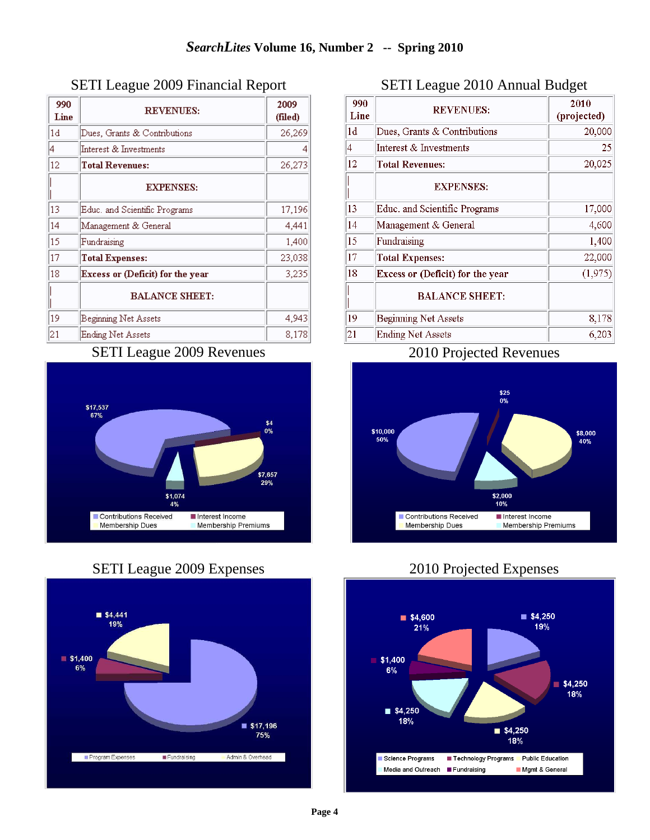| 990<br>Line    | <b>REVENUES:</b>                 | 2009<br>(filed) |
|----------------|----------------------------------|-----------------|
| 1 <sub>d</sub> | Dues, Grants & Contributions     | 26,269          |
| 4              | Interest & Investments           | 4               |
| 12             | <b>Total Revenues:</b>           | 26,273          |
|                | <b>EXPENSES:</b>                 |                 |
| 13             | Educ, and Scientific Programs    | 17,196          |
| 14             | Management & General             | 4,441           |
| 15             | Fundraising                      | 1,400           |
| 17             | Total Expenses:                  | 23,038          |
| 18             | Excess or (Deficit) for the year | 3,235           |
|                | <b>BALANCE SHEET:</b>            |                 |
| 19             | Beginning Net Assets             | 4,943           |
| 21             | Ending Net Assets                | 8,178           |

### SETI League 2009 Financial Report

## SETI League 2009 Revenues







## SETI League 2010 Annual Budget

| 990<br>Line | <b>REVENUES:</b>                 | 2010<br>(projected) |
|-------------|----------------------------------|---------------------|
| 1d          | Dues, Grants $&$ Contributions   | 20,000              |
| 4           | Interest & Investments           | 25                  |
| 12          | <b>Total Revenues:</b>           | 20,025              |
|             | <b>EXPENSES:</b>                 |                     |
| 13          | Educ. and Scientific Programs    | 17,000              |
| 14          | Management & General             | 4,600               |
| 15          | Fundraising                      | 1,400               |
| 17          | <b>Total Expenses:</b>           | 22,000              |
| 18          | Excess or (Deficit) for the year | (1,975)             |
|             | <b>BALANCE SHEET:</b>            |                     |
| 19          | <b>Beginning Net Assets</b>      | 8,178               |
| 21          | <b>Ending Net Assets</b>         | 6,203               |

### 2010 Projected Revenues



## 2010 Projected Expenses

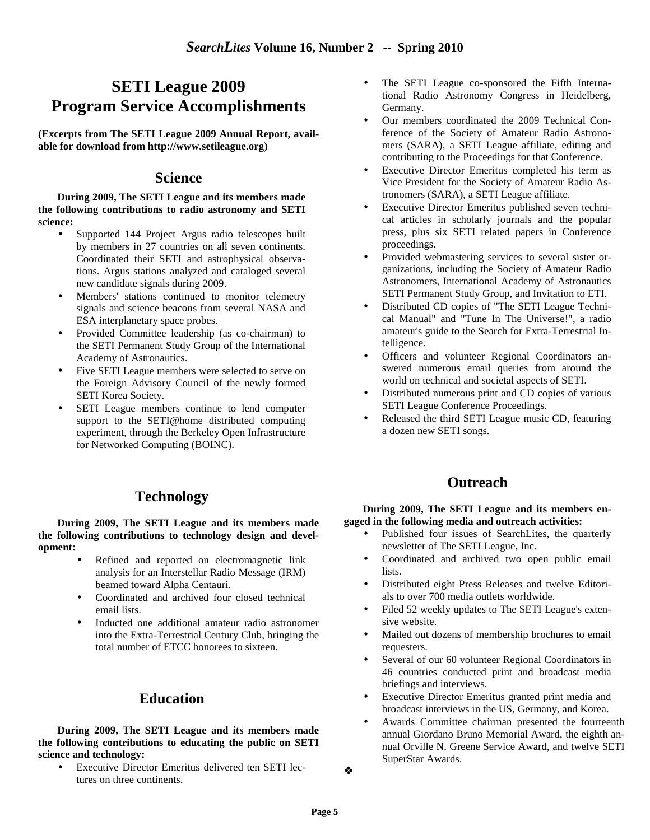# **SETI League 2009 Program Service Accomplishments**

**(Excerpts from The SETI League 2009 Annual Report, available for download from http://www.setileague.org)** 

#### **Science**

**During 2009, The SETI League and its members made the following contributions to radio astronomy and SETI science:** 

- Supported 144 Project Argus radio telescopes built by members in 27 countries on all seven continents. Coordinated their SETI and astrophysical observations. Argus stations analyzed and cataloged several new candidate signals during 2009.
- Members' stations continued to monitor telemetry signals and science beacons from several NASA and ESA interplanetary space probes.
- Provided Committee leadership (as co-chairman) to the SETI Permanent Study Group of the International Academy of Astronautics.
- Five SETI League members were selected to serve on the Foreign Advisory Council of the newly formed SETI Korea Society.
- SETI League members continue to lend computer support to the SETI@home distributed computing experiment, through the Berkeley Open Infrastructure for Networked Computing (BOINC).

## **Technology**

**During 2009, The SETI League and its members made the following contributions to technology design and development:** 

- Refined and reported on electromagnetic link analysis for an Interstellar Radio Message (IRM) beamed toward Alpha Centauri.
- Coordinated and archived four closed technical email lists.
- Inducted one additional amateur radio astronomer into the Extra-Terrestrial Century Club, bringing the total number of ETCC honorees to sixteen.

## **Education**

**During 2009, The SETI League and its members made the following contributions to educating the public on SETI science and technology:** 

• Executive Director Emeritus delivered ten SETI lectures on three continents.

- The SETI League co-sponsored the Fifth International Radio Astronomy Congress in Heidelberg, Germany.
- Our members coordinated the 2009 Technical Conference of the Society of Amateur Radio Astronomers (SARA), a SETI League affiliate, editing and contributing to the Proceedings for that Conference.
- Executive Director Emeritus completed his term as Vice President for the Society of Amateur Radio Astronomers (SARA), a SETI League affiliate.
- Executive Director Emeritus published seven technical articles in scholarly journals and the popular press, plus six SETI related papers in Conference proceedings.
- Provided webmastering services to several sister organizations, including the Society of Amateur Radio Astronomers, International Academy of Astronautics SETI Permanent Study Group, and Invitation to ETI.
- Distributed CD copies of "The SETI League Technical Manual" and "Tune In The Universe!", a radio amateur's guide to the Search for Extra-Terrestrial Intelligence.
- Officers and volunteer Regional Coordinators answered numerous email queries from around the world on technical and societal aspects of SETI.
- Distributed numerous print and CD copies of various SETI League Conference Proceedings.
- Released the third SETI League music CD, featuring a dozen new SETI songs.

## **Outreach**

#### **During 2009, The SETI League and its members engaged in the following media and outreach activities:**

- Published four issues of SearchLites, the quarterly newsletter of The SETI League, Inc.
- Coordinated and archived two open public email lists.
- Distributed eight Press Releases and twelve Editorials to over 700 media outlets worldwide.
- Filed 52 weekly updates to The SETI League's extensive website.
- Mailed out dozens of membership brochures to email requesters.
- Several of our 60 volunteer Regional Coordinators in 46 countries conducted print and broadcast media briefings and interviews.
- Executive Director Emeritus granted print media and broadcast interviews in the US, Germany, and Korea.
- Awards Committee chairman presented the fourteenth annual Giordano Bruno Memorial Award, the eighth annual Orville N. Greene Service Award, and twelve SETI SuperStar Awards.

❖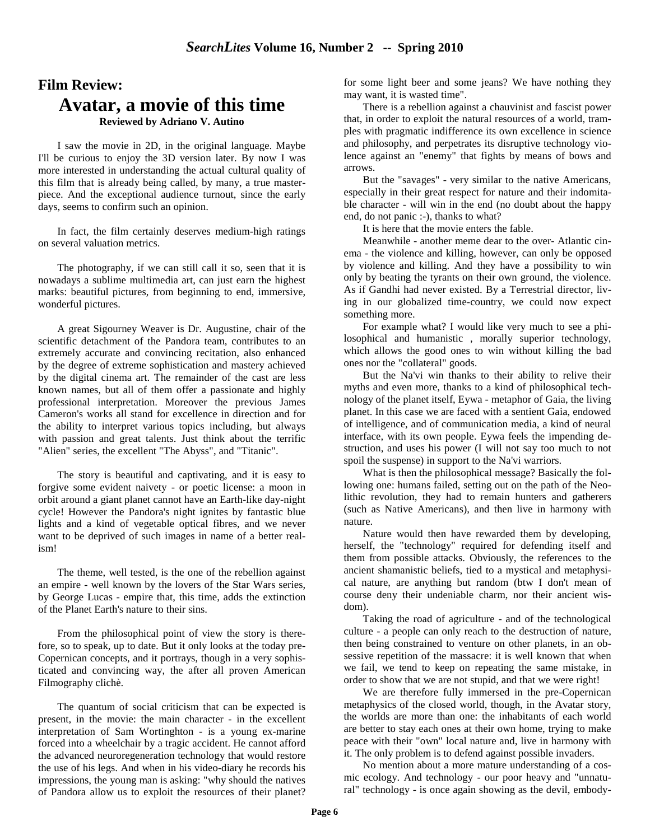# **Film Review: Avatar, a movie of this time**

#### **Reviewed by Adriano V. Autino**

I saw the movie in 2D, in the original language. Maybe I'll be curious to enjoy the 3D version later. By now I was more interested in understanding the actual cultural quality of this film that is already being called, by many, a true masterpiece. And the exceptional audience turnout, since the early days, seems to confirm such an opinion.

In fact, the film certainly deserves medium-high ratings on several valuation metrics.

The photography, if we can still call it so, seen that it is nowadays a sublime multimedia art, can just earn the highest marks: beautiful pictures, from beginning to end, immersive, wonderful pictures.

A great Sigourney Weaver is Dr. Augustine, chair of the scientific detachment of the Pandora team, contributes to an extremely accurate and convincing recitation, also enhanced by the degree of extreme sophistication and mastery achieved by the digital cinema art. The remainder of the cast are less known names, but all of them offer a passionate and highly professional interpretation. Moreover the previous James Cameron's works all stand for excellence in direction and for the ability to interpret various topics including, but always with passion and great talents. Just think about the terrific "Alien" series, the excellent "The Abyss", and "Titanic".

The story is beautiful and captivating, and it is easy to forgive some evident naivety - or poetic license: a moon in orbit around a giant planet cannot have an Earth-like day-night cycle! However the Pandora's night ignites by fantastic blue lights and a kind of vegetable optical fibres, and we never want to be deprived of such images in name of a better realism!

The theme, well tested, is the one of the rebellion against an empire - well known by the lovers of the Star Wars series, by George Lucas - empire that, this time, adds the extinction of the Planet Earth's nature to their sins.

From the philosophical point of view the story is therefore, so to speak, up to date. But it only looks at the today pre-Copernican concepts, and it portrays, though in a very sophisticated and convincing way, the after all proven American Filmography clichè.

The quantum of social criticism that can be expected is present, in the movie: the main character - in the excellent interpretation of Sam Wortinghton - is a young ex-marine forced into a wheelchair by a tragic accident. He cannot afford the advanced neuroregeneration technology that would restore the use of his legs. And when in his video-diary he records his impressions, the young man is asking: "why should the natives of Pandora allow us to exploit the resources of their planet?

for some light beer and some jeans? We have nothing they may want, it is wasted time".

There is a rebellion against a chauvinist and fascist power that, in order to exploit the natural resources of a world, tramples with pragmatic indifference its own excellence in science and philosophy, and perpetrates its disruptive technology violence against an "enemy" that fights by means of bows and arrows.

But the "savages" - very similar to the native Americans, especially in their great respect for nature and their indomitable character - will win in the end (no doubt about the happy end, do not panic :-), thanks to what?

It is here that the movie enters the fable.

Meanwhile - another meme dear to the over- Atlantic cinema - the violence and killing, however, can only be opposed by violence and killing. And they have a possibility to win only by beating the tyrants on their own ground, the violence. As if Gandhi had never existed. By a Terrestrial director, living in our globalized time-country, we could now expect something more.

For example what? I would like very much to see a philosophical and humanistic , morally superior technology, which allows the good ones to win without killing the bad ones nor the "collateral" goods.

But the Na'vi win thanks to their ability to relive their myths and even more, thanks to a kind of philosophical technology of the planet itself, Eywa - metaphor of Gaia, the living planet. In this case we are faced with a sentient Gaia, endowed of intelligence, and of communication media, a kind of neural interface, with its own people. Eywa feels the impending destruction, and uses his power (I will not say too much to not spoil the suspense) in support to the Na'vi warriors.

What is then the philosophical message? Basically the following one: humans failed, setting out on the path of the Neolithic revolution, they had to remain hunters and gatherers (such as Native Americans), and then live in harmony with nature.

Nature would then have rewarded them by developing, herself, the "technology" required for defending itself and them from possible attacks. Obviously, the references to the ancient shamanistic beliefs, tied to a mystical and metaphysical nature, are anything but random (btw I don't mean of course deny their undeniable charm, nor their ancient wisdom).

Taking the road of agriculture - and of the technological culture - a people can only reach to the destruction of nature, then being constrained to venture on other planets, in an obsessive repetition of the massacre: it is well known that when we fail, we tend to keep on repeating the same mistake, in order to show that we are not stupid, and that we were right!

We are therefore fully immersed in the pre-Copernican metaphysics of the closed world, though, in the Avatar story, the worlds are more than one: the inhabitants of each world are better to stay each ones at their own home, trying to make peace with their "own" local nature and, live in harmony with it. The only problem is to defend against possible invaders.

No mention about a more mature understanding of a cosmic ecology. And technology - our poor heavy and "unnatural" technology - is once again showing as the devil, embody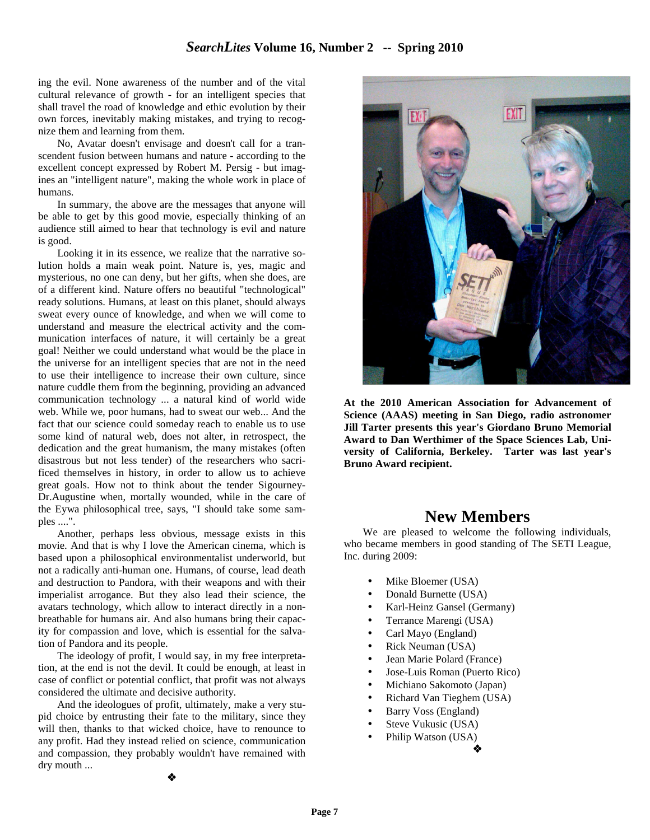ing the evil. None awareness of the number and of the vital cultural relevance of growth - for an intelligent species that shall travel the road of knowledge and ethic evolution by their own forces, inevitably making mistakes, and trying to recognize them and learning from them.

No, Avatar doesn't envisage and doesn't call for a transcendent fusion between humans and nature - according to the excellent concept expressed by Robert M. Persig - but imagines an "intelligent nature", making the whole work in place of humans.

In summary, the above are the messages that anyone will be able to get by this good movie, especially thinking of an audience still aimed to hear that technology is evil and nature is good.

Looking it in its essence, we realize that the narrative solution holds a main weak point. Nature is, yes, magic and mysterious, no one can deny, but her gifts, when she does, are of a different kind. Nature offers no beautiful "technological" ready solutions. Humans, at least on this planet, should always sweat every ounce of knowledge, and when we will come to understand and measure the electrical activity and the communication interfaces of nature, it will certainly be a great goal! Neither we could understand what would be the place in the universe for an intelligent species that are not in the need to use their intelligence to increase their own culture, since nature cuddle them from the beginning, providing an advanced communication technology ... a natural kind of world wide web. While we, poor humans, had to sweat our web... And the fact that our science could someday reach to enable us to use some kind of natural web, does not alter, in retrospect, the dedication and the great humanism, the many mistakes (often disastrous but not less tender) of the researchers who sacrificed themselves in history, in order to allow us to achieve great goals. How not to think about the tender Sigourney-Dr.Augustine when, mortally wounded, while in the care of the Eywa philosophical tree, says, "I should take some samples ....".

Another, perhaps less obvious, message exists in this movie. And that is why I love the American cinema, which is based upon a philosophical environmentalist underworld, but not a radically anti-human one. Humans, of course, lead death and destruction to Pandora, with their weapons and with their imperialist arrogance. But they also lead their science, the avatars technology, which allow to interact directly in a nonbreathable for humans air. And also humans bring their capacity for compassion and love, which is essential for the salvation of Pandora and its people.

The ideology of profit, I would say, in my free interpretation, at the end is not the devil. It could be enough, at least in case of conflict or potential conflict, that profit was not always considered the ultimate and decisive authority.

And the ideologues of profit, ultimately, make a very stupid choice by entrusting their fate to the military, since they will then, thanks to that wicked choice, have to renounce to any profit. Had they instead relied on science, communication and compassion, they probably wouldn't have remained with dry mouth ...



**At the 2010 American Association for Advancement of Science (AAAS) meeting in San Diego, radio astronomer Jill Tarter presents this year's Giordano Bruno Memorial Award to Dan Werthimer of the Space Sciences Lab, University of California, Berkeley. Tarter was last year's Bruno Award recipient.** 

## **New Members**

We are pleased to welcome the following individuals, who became members in good standing of The SETI League, Inc. during 2009:

- Mike Bloemer (USA)
- Donald Burnette (USA)
- Karl-Heinz Gansel (Germany)
- Terrance Marengi (USA)
- Carl Mayo (England)
- Rick Neuman (USA)
- Jean Marie Polard (France)
- Jose-Luis Roman (Puerto Rico)
- Michiano Sakomoto (Japan)
- Richard Van Tieghem (USA)
- Barry Voss (England)
- Steve Vukusic (USA)
- Philip Watson (USA)